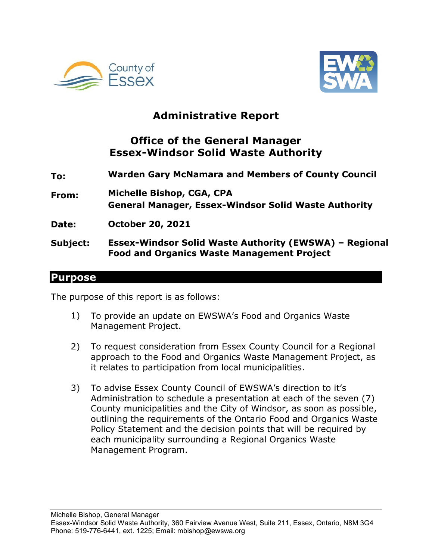



## **Administrative Report**

## **Office of the General Manager Essex-Windsor Solid Waste Authority**

- **To: Warden Gary McNamara and Members of County Council**
- **From: Michelle Bishop, CGA, CPA General Manager, Essex-Windsor Solid Waste Authority**
- **Date: October 20, 2021**
- **Subject: Essex-Windsor Solid Waste Authority (EWSWA) – Regional Food and Organics Waste Management Project**

#### **Purpose**

The purpose of this report is as follows:

- 1) To provide an update on EWSWA's Food and Organics Waste Management Project.
- 2) To request consideration from Essex County Council for a Regional approach to the Food and Organics Waste Management Project, as it relates to participation from local municipalities.
- 3) To advise Essex County Council of EWSWA's direction to it's Administration to schedule a presentation at each of the seven (7) County municipalities and the City of Windsor, as soon as possible, outlining the requirements of the Ontario Food and Organics Waste Policy Statement and the decision points that will be required by each municipality surrounding a Regional Organics Waste Management Program.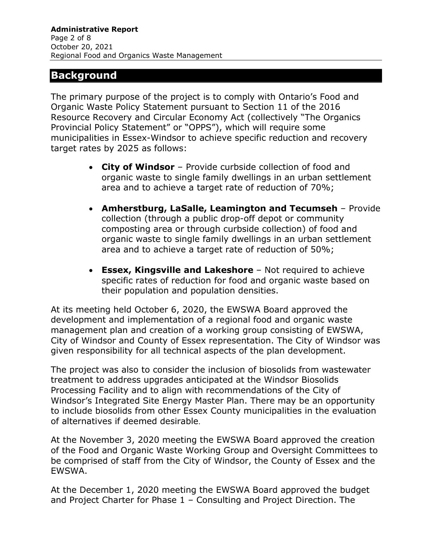## **Background**

The primary purpose of the project is to comply with Ontario's Food and Organic Waste Policy Statement pursuant to Section 11 of the 2016 Resource Recovery and Circular Economy Act (collectively "The Organics Provincial Policy Statement" or "OPPS"), which will require some municipalities in Essex-Windsor to achieve specific reduction and recovery target rates by 2025 as follows:

- **City of Windsor**  Provide curbside collection of food and organic waste to single family dwellings in an urban settlement area and to achieve a target rate of reduction of 70%;
- **Amherstburg, LaSalle, Leamington and Tecumseh**  Provide collection (through a public drop-off depot or community composting area or through curbside collection) of food and organic waste to single family dwellings in an urban settlement area and to achieve a target rate of reduction of 50%;
- **Essex, Kingsville and Lakeshore**  Not required to achieve specific rates of reduction for food and organic waste based on their population and population densities.

At its meeting held October 6, 2020, the EWSWA Board approved the development and implementation of a regional food and organic waste management plan and creation of a working group consisting of EWSWA, City of Windsor and County of Essex representation. The City of Windsor was given responsibility for all technical aspects of the plan development.

The project was also to consider the inclusion of biosolids from wastewater treatment to address upgrades anticipated at the Windsor Biosolids Processing Facility and to align with recommendations of the City of Windsor's Integrated Site Energy Master Plan. There may be an opportunity to include biosolids from other Essex County municipalities in the evaluation of alternatives if deemed desirable.

At the November 3, 2020 meeting the EWSWA Board approved the creation of the Food and Organic Waste Working Group and Oversight Committees to be comprised of staff from the City of Windsor, the County of Essex and the EWSWA.

At the December 1, 2020 meeting the EWSWA Board approved the budget and Project Charter for Phase 1 – Consulting and Project Direction. The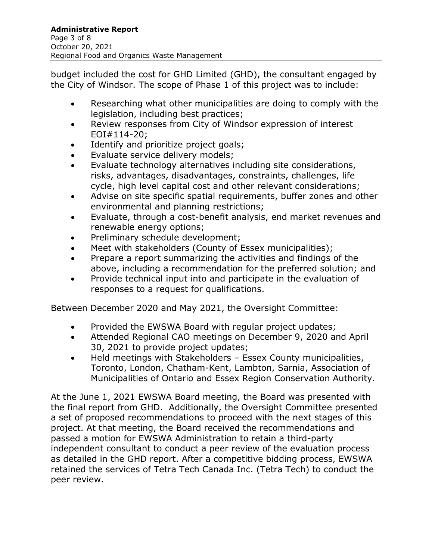budget included the cost for GHD Limited (GHD), the consultant engaged by the City of Windsor. The scope of Phase 1 of this project was to include:

- Researching what other municipalities are doing to comply with the legislation, including best practices;
- Review responses from City of Windsor expression of interest EOI#114-20;
- Identify and prioritize project goals;
- Evaluate service delivery models;
- Evaluate technology alternatives including site considerations, risks, advantages, disadvantages, constraints, challenges, life cycle, high level capital cost and other relevant considerations;
- Advise on site specific spatial requirements, buffer zones and other environmental and planning restrictions;
- Evaluate, through a cost-benefit analysis, end market revenues and renewable energy options;
- Preliminary schedule development;
- Meet with stakeholders (County of Essex municipalities);
- Prepare a report summarizing the activities and findings of the above, including a recommendation for the preferred solution; and
- Provide technical input into and participate in the evaluation of responses to a request for qualifications.

Between December 2020 and May 2021, the Oversight Committee:

- Provided the EWSWA Board with regular project updates;
- Attended Regional CAO meetings on December 9, 2020 and April 30, 2021 to provide project updates;
- Held meetings with Stakeholders Essex County municipalities, Toronto, London, Chatham-Kent, Lambton, Sarnia, Association of Municipalities of Ontario and Essex Region Conservation Authority.

At the June 1, 2021 EWSWA Board meeting, the Board was presented with the final report from GHD. Additionally, the Oversight Committee presented a set of proposed recommendations to proceed with the next stages of this project. At that meeting, the Board received the recommendations and passed a motion for EWSWA Administration to retain a third-party independent consultant to conduct a peer review of the evaluation process as detailed in the GHD report. After a competitive bidding process, EWSWA retained the services of Tetra Tech Canada Inc. (Tetra Tech) to conduct the peer review.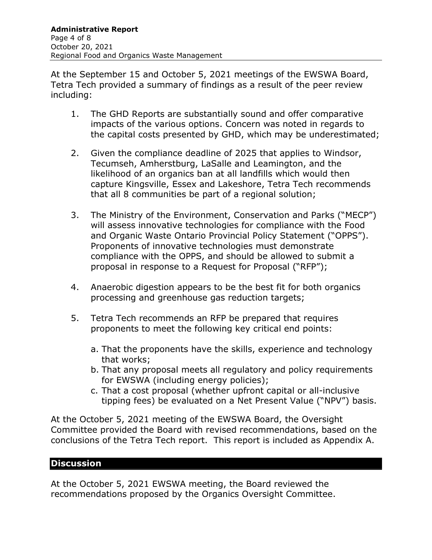At the September 15 and October 5, 2021 meetings of the EWSWA Board, Tetra Tech provided a summary of findings as a result of the peer review including:

- 1. The GHD Reports are substantially sound and offer comparative impacts of the various options. Concern was noted in regards to the capital costs presented by GHD, which may be underestimated;
- 2. Given the compliance deadline of 2025 that applies to Windsor, Tecumseh, Amherstburg, LaSalle and Leamington, and the likelihood of an organics ban at all landfills which would then capture Kingsville, Essex and Lakeshore, Tetra Tech recommends that all 8 communities be part of a regional solution;
- 3. The Ministry of the Environment, Conservation and Parks ("MECP") will assess innovative technologies for compliance with the Food and Organic Waste Ontario Provincial Policy Statement ("OPPS"). Proponents of innovative technologies must demonstrate compliance with the OPPS, and should be allowed to submit a proposal in response to a Request for Proposal ("RFP");
- 4. Anaerobic digestion appears to be the best fit for both organics processing and greenhouse gas reduction targets;
- 5. Tetra Tech recommends an RFP be prepared that requires proponents to meet the following key critical end points:
	- a. That the proponents have the skills, experience and technology that works;
	- b. That any proposal meets all regulatory and policy requirements for EWSWA (including energy policies);
	- c. That a cost proposal (whether upfront capital or all-inclusive tipping fees) be evaluated on a Net Present Value ("NPV") basis.

At the October 5, 2021 meeting of the EWSWA Board, the Oversight Committee provided the Board with revised recommendations, based on the conclusions of the Tetra Tech report. This report is included as Appendix A.

#### **Discussion**

At the October 5, 2021 EWSWA meeting, the Board reviewed the recommendations proposed by the Organics Oversight Committee.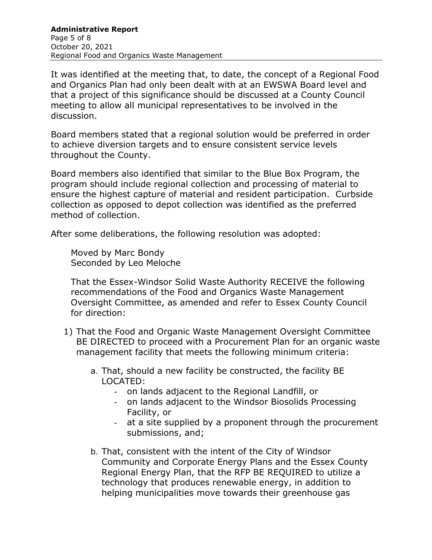It was identified at the meeting that, to date, the concept of a Regional Food and Organics Plan had only been dealt with at an EWSWA Board level and that a project of this significance should be discussed at a County Council meeting to allow all municipal representatives to be involved in the discussion.

Board members stated that a regional solution would be preferred in order to achieve diversion targets and to ensure consistent service levels throughout the County.

Board members also identified that similar to the Blue Box Program, the program should include regional collection and processing of material to ensure the highest capture of material and resident participation. Curbside collection as opposed to depot collection was identified as the preferred method of collection.

After some deliberations, the following resolution was adopted:

Moved by Marc Bondy Seconded by Leo Meloche

That the Essex-Windsor Solid Waste Authority RECEIVE the following recommendations of the Food and Organics Waste Management Oversight Committee, as amended and refer to Essex County Council for direction:

- 1) That the Food and Organic Waste Management Oversight Committee BE DIRECTED to proceed with a Procurement Plan for an organic waste management facility that meets the following minimum criteria:
	- a. That, should a new facility be constructed, the facility BE LOCATED:
		- on lands adjacent to the Regional Landfill, or
		- on lands adjacent to the Windsor Biosolids Processing Facility, or
		- at a site supplied by a proponent through the procurement submissions, and;
	- b. That, consistent with the intent of the City of Windsor Community and Corporate Energy Plans and the Essex County Regional Energy Plan, that the RFP BE REQUIRED to utilize a technology that produces renewable energy, in addition to helping municipalities move towards their greenhouse gas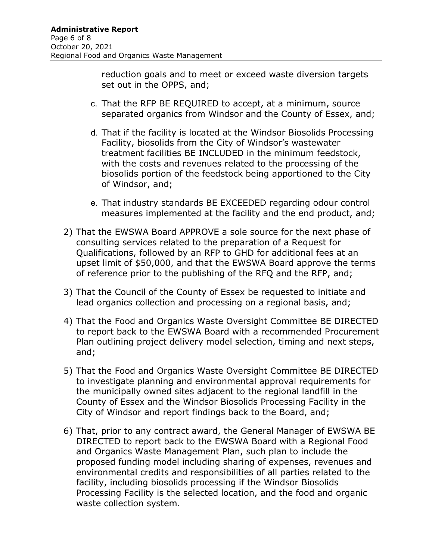reduction goals and to meet or exceed waste diversion targets set out in the OPPS, and;

- c. That the RFP BE REQUIRED to accept, at a minimum, source separated organics from Windsor and the County of Essex, and;
- d. That if the facility is located at the Windsor Biosolids Processing Facility, biosolids from the City of Windsor's wastewater treatment facilities BE INCLUDED in the minimum feedstock, with the costs and revenues related to the processing of the biosolids portion of the feedstock being apportioned to the City of Windsor, and;
- e. That industry standards BE EXCEEDED regarding odour control measures implemented at the facility and the end product, and;
- 2) That the EWSWA Board APPROVE a sole source for the next phase of consulting services related to the preparation of a Request for Qualifications, followed by an RFP to GHD for additional fees at an upset limit of \$50,000, and that the EWSWA Board approve the terms of reference prior to the publishing of the RFQ and the RFP, and;
- 3) That the Council of the County of Essex be requested to initiate and lead organics collection and processing on a regional basis, and;
- 4) That the Food and Organics Waste Oversight Committee BE DIRECTED to report back to the EWSWA Board with a recommended Procurement Plan outlining project delivery model selection, timing and next steps, and;
- 5) That the Food and Organics Waste Oversight Committee BE DIRECTED to investigate planning and environmental approval requirements for the municipally owned sites adjacent to the regional landfill in the County of Essex and the Windsor Biosolids Processing Facility in the City of Windsor and report findings back to the Board, and;
- 6) That, prior to any contract award, the General Manager of EWSWA BE DIRECTED to report back to the EWSWA Board with a Regional Food and Organics Waste Management Plan, such plan to include the proposed funding model including sharing of expenses, revenues and environmental credits and responsibilities of all parties related to the facility, including biosolids processing if the Windsor Biosolids Processing Facility is the selected location, and the food and organic waste collection system.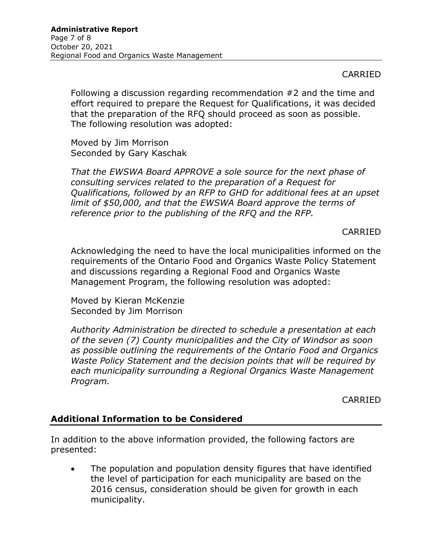## CARRIED

Following a discussion regarding recommendation #2 and the time and effort required to prepare the Request for Qualifications, it was decided that the preparation of the RFQ should proceed as soon as possible. The following resolution was adopted:

Moved by Jim Morrison Seconded by Gary Kaschak

*That the EWSWA Board APPROVE a sole source for the next phase of consulting services related to the preparation of a Request for Qualifications, followed by an RFP to GHD for additional fees at an upset limit of \$50,000, and that the EWSWA Board approve the terms of reference prior to the publishing of the RFQ and the RFP.* 

#### CARRIED

Acknowledging the need to have the local municipalities informed on the requirements of the Ontario Food and Organics Waste Policy Statement and discussions regarding a Regional Food and Organics Waste Management Program, the following resolution was adopted:

Moved by Kieran McKenzie Seconded by Jim Morrison

*Authority Administration be directed to schedule a presentation at each of the seven (7) County municipalities and the City of Windsor as soon as possible outlining the requirements of the Ontario Food and Organics Waste Policy Statement and the decision points that will be required by each municipality surrounding a Regional Organics Waste Management Program.* 

CARRIED

### **Additional Information to be Considered**

In addition to the above information provided, the following factors are presented:

• The population and population density figures that have identified the level of participation for each municipality are based on the 2016 census, consideration should be given for growth in each municipality.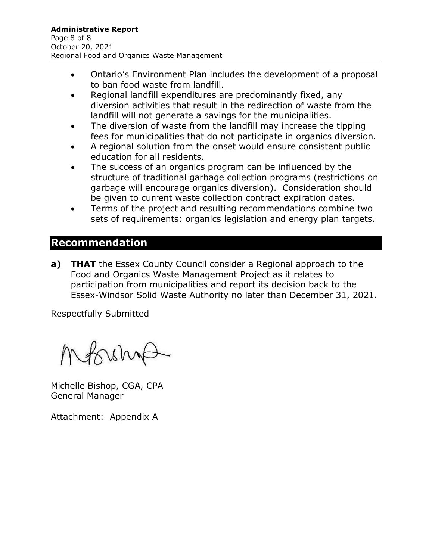- Ontario's Environment Plan includes the development of a proposal to ban food waste from landfill.
- Regional landfill expenditures are predominantly fixed, any diversion activities that result in the redirection of waste from the landfill will not generate a savings for the municipalities.
- The diversion of waste from the landfill may increase the tipping fees for municipalities that do not participate in organics diversion.
- A regional solution from the onset would ensure consistent public education for all residents.
- The success of an organics program can be influenced by the structure of traditional garbage collection programs (restrictions on garbage will encourage organics diversion). Consideration should be given to current waste collection contract expiration dates.
- Terms of the project and resulting recommendations combine two sets of requirements: organics legislation and energy plan targets.

## **Recommendation**

**a) THAT** the Essex County Council consider a Regional approach to the Food and Organics Waste Management Project as it relates to participation from municipalities and report its decision back to the Essex-Windsor Solid Waste Authority no later than December 31, 2021.

Respectfully Submitted

Mossin

Michelle Bishop, CGA, CPA General Manager

Attachment: Appendix A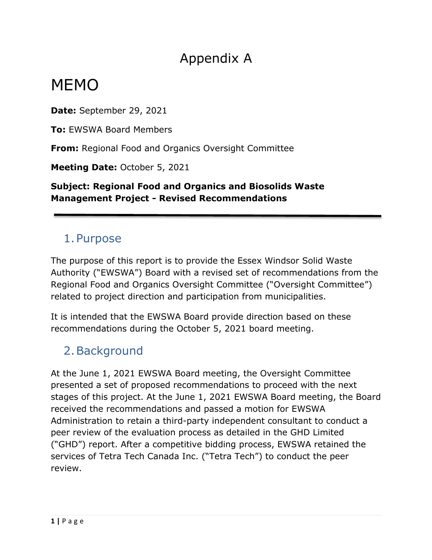# Appendix A

# MEMO

**Date:** September 29, 2021

**To:** EWSWA Board Members

**From:** Regional Food and Organics Oversight Committee

**Meeting Date:** October 5, 2021

**Subject: Regional Food and Organics and Biosolids Waste Management Project - Revised Recommendations** 

# 1.Purpose

The purpose of this report is to provide the Essex Windsor Solid Waste Authority ("EWSWA") Board with a revised set of recommendations from the Regional Food and Organics Oversight Committee ("Oversight Committee") related to project direction and participation from municipalities.

It is intended that the EWSWA Board provide direction based on these recommendations during the October 5, 2021 board meeting.

# 2.Background

At the June 1, 2021 EWSWA Board meeting, the Oversight Committee presented a set of proposed recommendations to proceed with the next stages of this project. At the June 1, 2021 EWSWA Board meeting, the Board received the recommendations and passed a motion for EWSWA Administration to retain a third-party independent consultant to conduct a peer review of the evaluation process as detailed in the GHD Limited ("GHD") report. After a competitive bidding process, EWSWA retained the services of Tetra Tech Canada Inc. ("Tetra Tech") to conduct the peer review.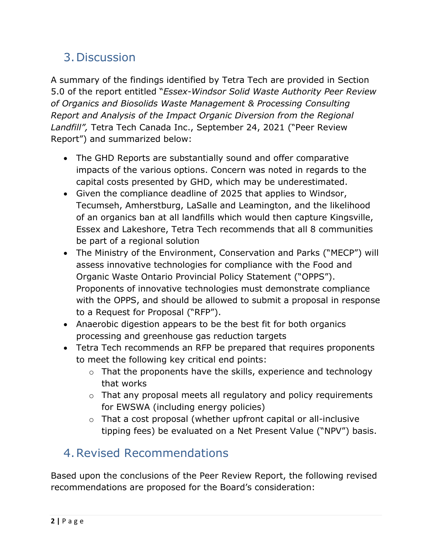# 3.Discussion

A summary of the findings identified by Tetra Tech are provided in Section 5.0 of the report entitled "*Essex-Windsor Solid Waste Authority Peer Review of Organics and Biosolids Waste Management & Processing Consulting Report and Analysis of the Impact Organic Diversion from the Regional Landfill",* Tetra Tech Canada Inc., September 24, 2021 ("Peer Review Report") and summarized below:

- The GHD Reports are substantially sound and offer comparative impacts of the various options. Concern was noted in regards to the capital costs presented by GHD, which may be underestimated.
- Given the compliance deadline of 2025 that applies to Windsor, Tecumseh, Amherstburg, LaSalle and Leamington, and the likelihood of an organics ban at all landfills which would then capture Kingsville, Essex and Lakeshore, Tetra Tech recommends that all 8 communities be part of a regional solution
- The Ministry of the Environment, Conservation and Parks ("MECP") will assess innovative technologies for compliance with the Food and Organic Waste Ontario Provincial Policy Statement ("OPPS"). Proponents of innovative technologies must demonstrate compliance with the OPPS, and should be allowed to submit a proposal in response to a Request for Proposal ("RFP").
- Anaerobic digestion appears to be the best fit for both organics processing and greenhouse gas reduction targets
- Tetra Tech recommends an RFP be prepared that requires proponents to meet the following key critical end points:
	- o That the proponents have the skills, experience and technology that works
	- o That any proposal meets all regulatory and policy requirements for EWSWA (including energy policies)
	- o That a cost proposal (whether upfront capital or all-inclusive tipping fees) be evaluated on a Net Present Value ("NPV") basis.

# 4.Revised Recommendations

Based upon the conclusions of the Peer Review Report, the following revised recommendations are proposed for the Board's consideration: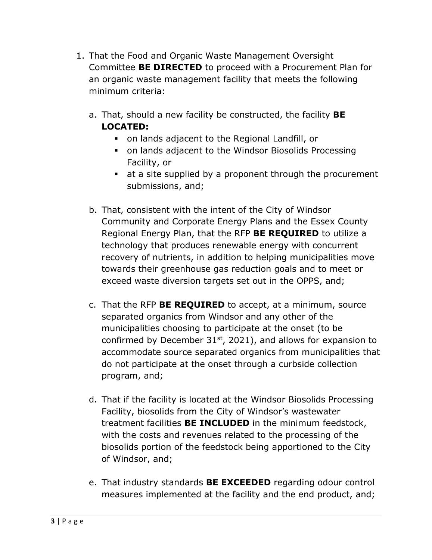- 1. That the Food and Organic Waste Management Oversight Committee **BE DIRECTED** to proceed with a Procurement Plan for an organic waste management facility that meets the following minimum criteria:
	- a. That, should a new facility be constructed, the facility **BE LOCATED:** 
		- on lands adjacent to the Regional Landfill, or
		- on lands adjacent to the Windsor Biosolids Processing Facility, or
		- at a site supplied by a proponent through the procurement submissions, and;
	- b. That, consistent with the intent of the City of Windsor Community and Corporate Energy Plans and the Essex County Regional Energy Plan, that the RFP **BE REQUIRED** to utilize a technology that produces renewable energy with concurrent recovery of nutrients, in addition to helping municipalities move towards their greenhouse gas reduction goals and to meet or exceed waste diversion targets set out in the OPPS, and;
	- c. That the RFP **BE REQUIRED** to accept, at a minimum, source separated organics from Windsor and any other of the municipalities choosing to participate at the onset (to be confirmed by December  $31<sup>st</sup>$ , 2021), and allows for expansion to accommodate source separated organics from municipalities that do not participate at the onset through a curbside collection program, and;
	- d. That if the facility is located at the Windsor Biosolids Processing Facility, biosolids from the City of Windsor's wastewater treatment facilities **BE INCLUDED** in the minimum feedstock, with the costs and revenues related to the processing of the biosolids portion of the feedstock being apportioned to the City of Windsor, and;
	- e. That industry standards **BE EXCEEDED** regarding odour control measures implemented at the facility and the end product, and;